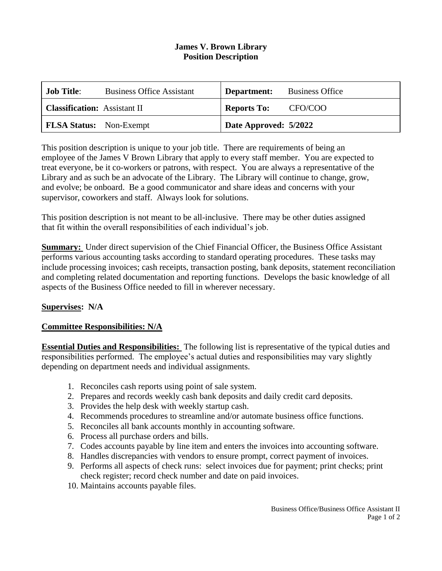## **James V. Brown Library Position Description**

| <b>Job Title:</b>                   | <b>Business Office Assistant</b> |                       | <b>Department:</b> Business Office |
|-------------------------------------|----------------------------------|-----------------------|------------------------------------|
| <b>Classification:</b> Assistant II |                                  | <b>Reports To:</b>    | CFO/COO                            |
| <b>FLSA Status:</b> Non-Exempt      |                                  | Date Approved: 5/2022 |                                    |

This position description is unique to your job title. There are requirements of being an employee of the James V Brown Library that apply to every staff member. You are expected to treat everyone, be it co-workers or patrons, with respect. You are always a representative of the Library and as such be an advocate of the Library. The Library will continue to change, grow, and evolve; be onboard. Be a good communicator and share ideas and concerns with your supervisor, coworkers and staff. Always look for solutions.

This position description is not meant to be all-inclusive. There may be other duties assigned that fit within the overall responsibilities of each individual's job.

**Summary:** Under direct supervision of the Chief Financial Officer, the Business Office Assistant performs various accounting tasks according to standard operating procedures. These tasks may include processing invoices; cash receipts, transaction posting, bank deposits, statement reconciliation and completing related documentation and reporting functions. Develops the basic knowledge of all aspects of the Business Office needed to fill in wherever necessary.

## **Supervises: N/A**

## **Committee Responsibilities: N/A**

**Essential Duties and Responsibilities:** The following list is representative of the typical duties and responsibilities performed. The employee's actual duties and responsibilities may vary slightly depending on department needs and individual assignments.

- 1. Reconciles cash reports using point of sale system.
- 2. Prepares and records weekly cash bank deposits and daily credit card deposits.
- 3. Provides the help desk with weekly startup cash.
- 4. Recommends procedures to streamline and/or automate business office functions.
- 5. Reconciles all bank accounts monthly in accounting software.
- 6. Process all purchase orders and bills.
- 7. Codes accounts payable by line item and enters the invoices into accounting software.
- 8. Handles discrepancies with vendors to ensure prompt, correct payment of invoices.
- 9. Performs all aspects of check runs: select invoices due for payment; print checks; print check register; record check number and date on paid invoices.
- 10. Maintains accounts payable files.